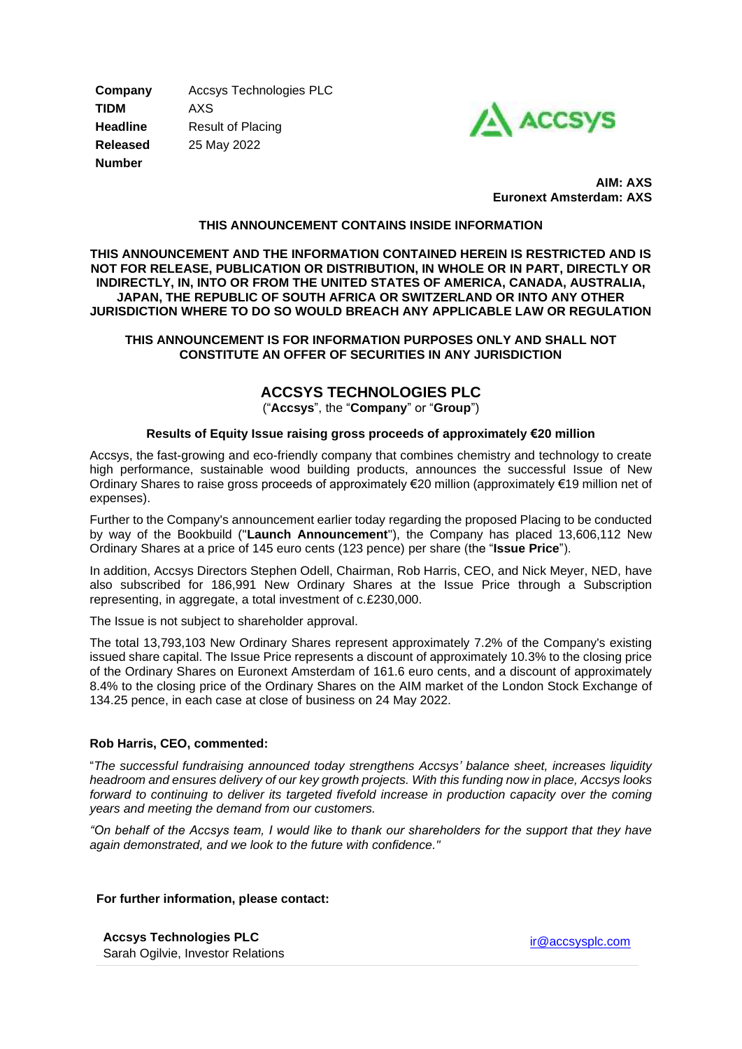**Company** Accsys Technologies PLC **TIDM** AXS **Headline** Result of Placing **Released** 25 May 2022 **Number**



 **AIM: AXS Euronext Amsterdam: AXS** 

### **THIS ANNOUNCEMENT CONTAINS INSIDE INFORMATION**

**THIS ANNOUNCEMENT AND THE INFORMATION CONTAINED HEREIN IS RESTRICTED AND IS NOT FOR RELEASE, PUBLICATION OR DISTRIBUTION, IN WHOLE OR IN PART, DIRECTLY OR INDIRECTLY, IN, INTO OR FROM THE UNITED STATES OF AMERICA, CANADA, AUSTRALIA, JAPAN, THE REPUBLIC OF SOUTH AFRICA OR SWITZERLAND OR INTO ANY OTHER JURISDICTION WHERE TO DO SO WOULD BREACH ANY APPLICABLE LAW OR REGULATION**

### **THIS ANNOUNCEMENT IS FOR INFORMATION PURPOSES ONLY AND SHALL NOT CONSTITUTE AN OFFER OF SECURITIES IN ANY JURISDICTION**

# **ACCSYS TECHNOLOGIES PLC**

("**Accsys**", the "**Company**" or "**Group**")

### **Results of Equity Issue raising gross proceeds of approximately €20 million**

Accsys, the fast-growing and eco-friendly company that combines chemistry and technology to create high performance, sustainable wood building products, announces the successful Issue of New Ordinary Shares to raise gross proceeds of approximately €20 million (approximately €19 million net of expenses).

Further to the Company's announcement earlier today regarding the proposed Placing to be conducted by way of the Bookbuild ("**Launch Announcement**"), the Company has placed 13,606,112 New Ordinary Shares at a price of 145 euro cents (123 pence) per share (the "**Issue Price**").

In addition, Accsys Directors Stephen Odell, Chairman, Rob Harris, CEO, and Nick Meyer, NED, have also subscribed for 186,991 New Ordinary Shares at the Issue Price through a Subscription representing, in aggregate, a total investment of c.£230,000.

The Issue is not subject to shareholder approval.

The total 13,793,103 New Ordinary Shares represent approximately 7.2% of the Company's existing issued share capital. The Issue Price represents a discount of approximately 10.3% to the closing price of the Ordinary Shares on Euronext Amsterdam of 161.6 euro cents, and a discount of approximately 8.4% to the closing price of the Ordinary Shares on the AIM market of the London Stock Exchange of 134.25 pence, in each case at close of business on 24 May 2022.

#### **Rob Harris, CEO, commented:**

"*The successful fundraising announced today strengthens Accsys' balance sheet, increases liquidity headroom and ensures delivery of our key growth projects. With this funding now in place, Accsys looks forward to continuing to deliver its targeted fivefold increase in production capacity over the coming years and meeting the demand from our customers.*

*"On behalf of the Accsys team, I would like to thank our shareholders for the support that they have again demonstrated, and we look to the future with confidence."*

#### **For further information, please contact:**

**Accsys Technologies PLC** Sarah Ogilvie, Investor Relations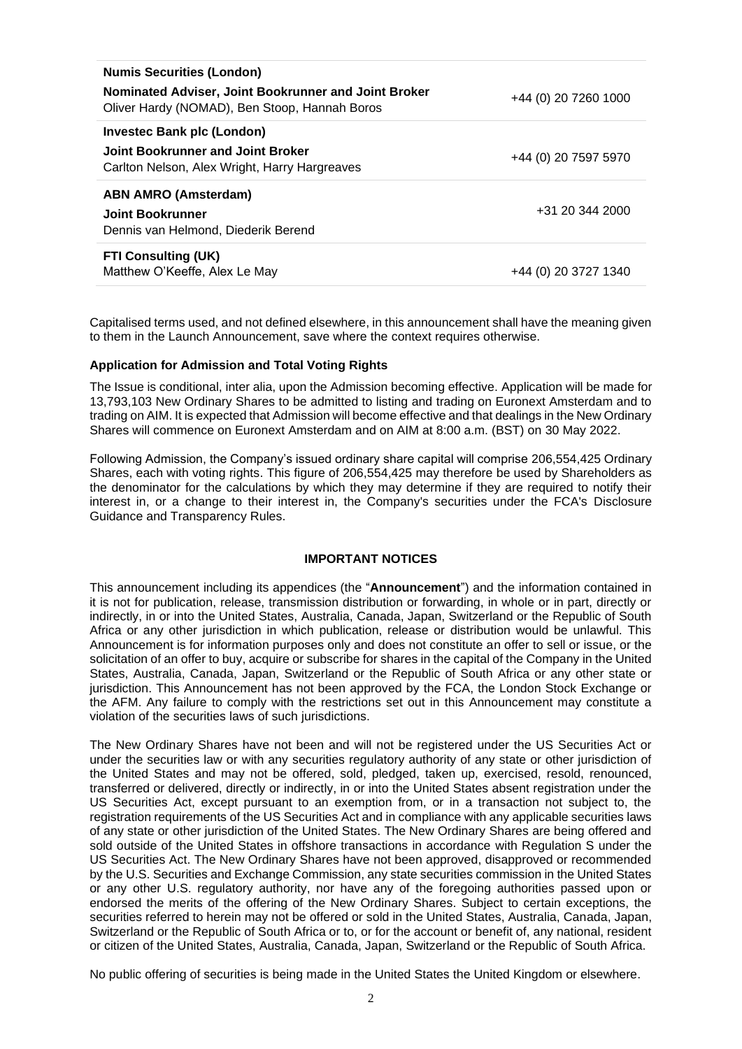| <b>Numis Securities (London)</b>                                                                      |                      |
|-------------------------------------------------------------------------------------------------------|----------------------|
| Nominated Adviser, Joint Bookrunner and Joint Broker<br>Oliver Hardy (NOMAD), Ben Stoop, Hannah Boros | +44 (0) 20 7260 1000 |
| Investec Bank plc (London)                                                                            |                      |
| Joint Bookrunner and Joint Broker<br>Carlton Nelson, Alex Wright, Harry Hargreaves                    | +44 (0) 20 7597 5970 |
| ABN AMRO (Amsterdam)                                                                                  |                      |
| Joint Bookrunner<br>Dennis van Helmond. Diederik Berend                                               | +31 20 344 2000      |
| <b>FTI Consulting (UK)</b><br>Matthew O'Keeffe, Alex Le May                                           | +44 (0) 20 3727 1340 |
|                                                                                                       |                      |

Capitalised terms used, and not defined elsewhere, in this announcement shall have the meaning given to them in the Launch Announcement, save where the context requires otherwise.

#### **Application for Admission and Total Voting Rights**

The Issue is conditional, inter alia, upon the Admission becoming effective. Application will be made for 13,793,103 New Ordinary Shares to be admitted to listing and trading on Euronext Amsterdam and to trading on AIM. It is expected that Admission will become effective and that dealings in the New Ordinary Shares will commence on Euronext Amsterdam and on AIM at 8:00 a.m. (BST) on 30 May 2022.

Following Admission, the Company's issued ordinary share capital will comprise 206,554,425 Ordinary Shares, each with voting rights. This figure of 206,554,425 may therefore be used by Shareholders as the denominator for the calculations by which they may determine if they are required to notify their interest in, or a change to their interest in, the Company's securities under the FCA's Disclosure Guidance and Transparency Rules.

#### **IMPORTANT NOTICES**

This announcement including its appendices (the "**Announcement**") and the information contained in it is not for publication, release, transmission distribution or forwarding, in whole or in part, directly or indirectly, in or into the United States, Australia, Canada, Japan, Switzerland or the Republic of South Africa or any other jurisdiction in which publication, release or distribution would be unlawful. This Announcement is for information purposes only and does not constitute an offer to sell or issue, or the solicitation of an offer to buy, acquire or subscribe for shares in the capital of the Company in the United States, Australia, Canada, Japan, Switzerland or the Republic of South Africa or any other state or jurisdiction. This Announcement has not been approved by the FCA, the London Stock Exchange or the AFM. Any failure to comply with the restrictions set out in this Announcement may constitute a violation of the securities laws of such jurisdictions.

The New Ordinary Shares have not been and will not be registered under the US Securities Act or under the securities law or with any securities regulatory authority of any state or other jurisdiction of the United States and may not be offered, sold, pledged, taken up, exercised, resold, renounced, transferred or delivered, directly or indirectly, in or into the United States absent registration under the US Securities Act, except pursuant to an exemption from, or in a transaction not subject to, the registration requirements of the US Securities Act and in compliance with any applicable securities laws of any state or other jurisdiction of the United States. The New Ordinary Shares are being offered and sold outside of the United States in offshore transactions in accordance with Regulation S under the US Securities Act. The New Ordinary Shares have not been approved, disapproved or recommended by the U.S. Securities and Exchange Commission, any state securities commission in the United States or any other U.S. regulatory authority, nor have any of the foregoing authorities passed upon or endorsed the merits of the offering of the New Ordinary Shares. Subject to certain exceptions, the securities referred to herein may not be offered or sold in the United States, Australia, Canada, Japan, Switzerland or the Republic of South Africa or to, or for the account or benefit of, any national, resident or citizen of the United States, Australia, Canada, Japan, Switzerland or the Republic of South Africa.

No public offering of securities is being made in the United States the United Kingdom or elsewhere.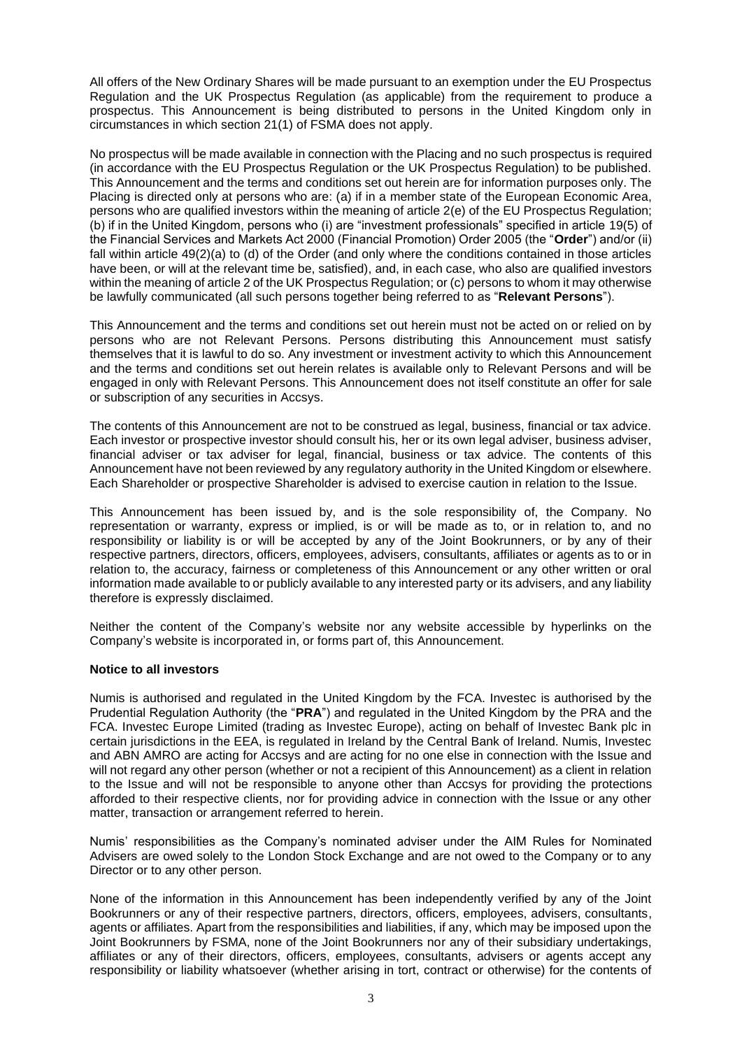All offers of the New Ordinary Shares will be made pursuant to an exemption under the EU Prospectus Regulation and the UK Prospectus Regulation (as applicable) from the requirement to produce a prospectus. This Announcement is being distributed to persons in the United Kingdom only in circumstances in which section 21(1) of FSMA does not apply.

No prospectus will be made available in connection with the Placing and no such prospectus is required (in accordance with the EU Prospectus Regulation or the UK Prospectus Regulation) to be published. This Announcement and the terms and conditions set out herein are for information purposes only. The Placing is directed only at persons who are: (a) if in a member state of the European Economic Area, persons who are qualified investors within the meaning of article 2(e) of the EU Prospectus Regulation; (b) if in the United Kingdom, persons who (i) are "investment professionals" specified in article 19(5) of the Financial Services and Markets Act 2000 (Financial Promotion) Order 2005 (the "**Order**") and/or (ii) fall within article 49(2)(a) to (d) of the Order (and only where the conditions contained in those articles have been, or will at the relevant time be, satisfied), and, in each case, who also are qualified investors within the meaning of article 2 of the UK Prospectus Regulation; or (c) persons to whom it may otherwise be lawfully communicated (all such persons together being referred to as "**Relevant Persons**").

This Announcement and the terms and conditions set out herein must not be acted on or relied on by persons who are not Relevant Persons. Persons distributing this Announcement must satisfy themselves that it is lawful to do so. Any investment or investment activity to which this Announcement and the terms and conditions set out herein relates is available only to Relevant Persons and will be engaged in only with Relevant Persons. This Announcement does not itself constitute an offer for sale or subscription of any securities in Accsys.

The contents of this Announcement are not to be construed as legal, business, financial or tax advice. Each investor or prospective investor should consult his, her or its own legal adviser, business adviser, financial adviser or tax adviser for legal, financial, business or tax advice. The contents of this Announcement have not been reviewed by any regulatory authority in the United Kingdom or elsewhere. Each Shareholder or prospective Shareholder is advised to exercise caution in relation to the Issue.

This Announcement has been issued by, and is the sole responsibility of, the Company. No representation or warranty, express or implied, is or will be made as to, or in relation to, and no responsibility or liability is or will be accepted by any of the Joint Bookrunners, or by any of their respective partners, directors, officers, employees, advisers, consultants, affiliates or agents as to or in relation to, the accuracy, fairness or completeness of this Announcement or any other written or oral information made available to or publicly available to any interested party or its advisers, and any liability therefore is expressly disclaimed.

Neither the content of the Company's website nor any website accessible by hyperlinks on the Company's website is incorporated in, or forms part of, this Announcement.

#### **Notice to all investors**

Numis is authorised and regulated in the United Kingdom by the FCA. Investec is authorised by the Prudential Regulation Authority (the "**PRA**") and regulated in the United Kingdom by the PRA and the FCA. Investec Europe Limited (trading as Investec Europe), acting on behalf of Investec Bank plc in certain jurisdictions in the EEA, is regulated in Ireland by the Central Bank of Ireland. Numis, Investec and ABN AMRO are acting for Accsys and are acting for no one else in connection with the Issue and will not regard any other person (whether or not a recipient of this Announcement) as a client in relation to the Issue and will not be responsible to anyone other than Accsys for providing the protections afforded to their respective clients, nor for providing advice in connection with the Issue or any other matter, transaction or arrangement referred to herein.

Numis' responsibilities as the Company's nominated adviser under the AIM Rules for Nominated Advisers are owed solely to the London Stock Exchange and are not owed to the Company or to any Director or to any other person.

None of the information in this Announcement has been independently verified by any of the Joint Bookrunners or any of their respective partners, directors, officers, employees, advisers, consultants, agents or affiliates. Apart from the responsibilities and liabilities, if any, which may be imposed upon the Joint Bookrunners by FSMA, none of the Joint Bookrunners nor any of their subsidiary undertakings, affiliates or any of their directors, officers, employees, consultants, advisers or agents accept any responsibility or liability whatsoever (whether arising in tort, contract or otherwise) for the contents of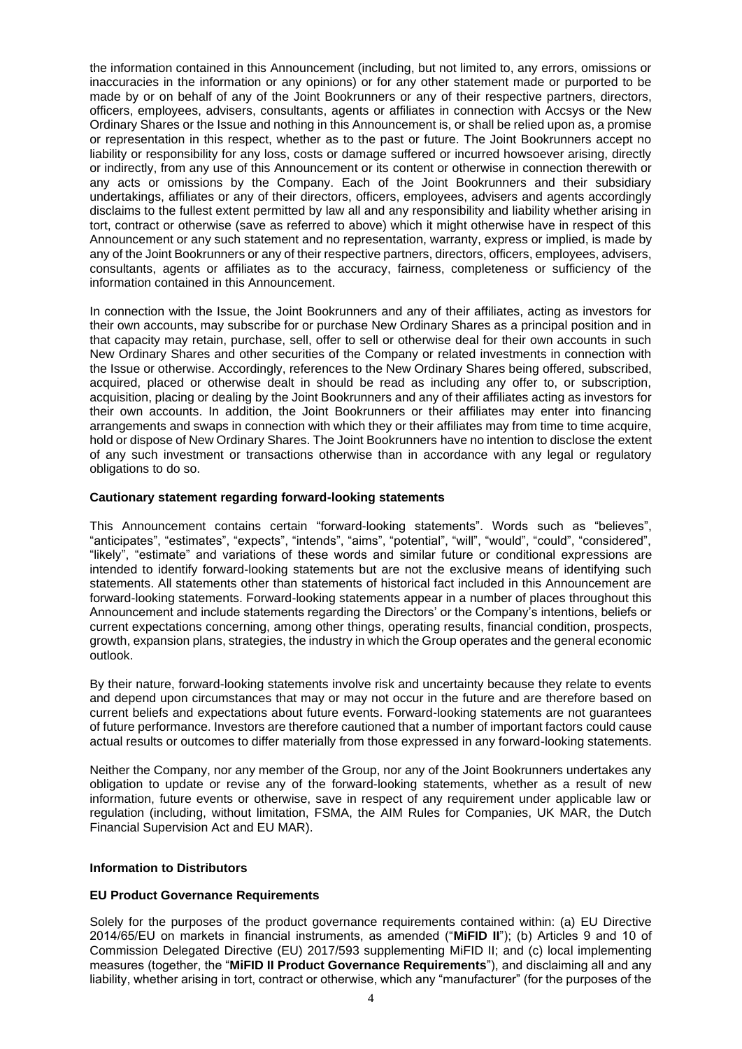the information contained in this Announcement (including, but not limited to, any errors, omissions or inaccuracies in the information or any opinions) or for any other statement made or purported to be made by or on behalf of any of the Joint Bookrunners or any of their respective partners, directors, officers, employees, advisers, consultants, agents or affiliates in connection with Accsys or the New Ordinary Shares or the Issue and nothing in this Announcement is, or shall be relied upon as, a promise or representation in this respect, whether as to the past or future. The Joint Bookrunners accept no liability or responsibility for any loss, costs or damage suffered or incurred howsoever arising, directly or indirectly, from any use of this Announcement or its content or otherwise in connection therewith or any acts or omissions by the Company. Each of the Joint Bookrunners and their subsidiary undertakings, affiliates or any of their directors, officers, employees, advisers and agents accordingly disclaims to the fullest extent permitted by law all and any responsibility and liability whether arising in tort, contract or otherwise (save as referred to above) which it might otherwise have in respect of this Announcement or any such statement and no representation, warranty, express or implied, is made by any of the Joint Bookrunners or any of their respective partners, directors, officers, employees, advisers, consultants, agents or affiliates as to the accuracy, fairness, completeness or sufficiency of the information contained in this Announcement.

In connection with the Issue, the Joint Bookrunners and any of their affiliates, acting as investors for their own accounts, may subscribe for or purchase New Ordinary Shares as a principal position and in that capacity may retain, purchase, sell, offer to sell or otherwise deal for their own accounts in such New Ordinary Shares and other securities of the Company or related investments in connection with the Issue or otherwise. Accordingly, references to the New Ordinary Shares being offered, subscribed, acquired, placed or otherwise dealt in should be read as including any offer to, or subscription, acquisition, placing or dealing by the Joint Bookrunners and any of their affiliates acting as investors for their own accounts. In addition, the Joint Bookrunners or their affiliates may enter into financing arrangements and swaps in connection with which they or their affiliates may from time to time acquire, hold or dispose of New Ordinary Shares. The Joint Bookrunners have no intention to disclose the extent of any such investment or transactions otherwise than in accordance with any legal or regulatory obligations to do so.

## **Cautionary statement regarding forward-looking statements**

This Announcement contains certain "forward-looking statements". Words such as "believes", "anticipates", "estimates", "expects", "intends", "aims", "potential", "will", "would", "could", "considered", "likely", "estimate" and variations of these words and similar future or conditional expressions are intended to identify forward-looking statements but are not the exclusive means of identifying such statements. All statements other than statements of historical fact included in this Announcement are forward-looking statements. Forward-looking statements appear in a number of places throughout this Announcement and include statements regarding the Directors' or the Company's intentions, beliefs or current expectations concerning, among other things, operating results, financial condition, prospects, growth, expansion plans, strategies, the industry in which the Group operates and the general economic outlook.

By their nature, forward-looking statements involve risk and uncertainty because they relate to events and depend upon circumstances that may or may not occur in the future and are therefore based on current beliefs and expectations about future events. Forward-looking statements are not guarantees of future performance. Investors are therefore cautioned that a number of important factors could cause actual results or outcomes to differ materially from those expressed in any forward-looking statements.

Neither the Company, nor any member of the Group, nor any of the Joint Bookrunners undertakes any obligation to update or revise any of the forward-looking statements, whether as a result of new information, future events or otherwise, save in respect of any requirement under applicable law or regulation (including, without limitation, FSMA, the AIM Rules for Companies, UK MAR, the Dutch Financial Supervision Act and EU MAR).

## **Information to Distributors**

## **EU Product Governance Requirements**

Solely for the purposes of the product governance requirements contained within: (a) EU Directive 2014/65/EU on markets in financial instruments, as amended ("**MiFID II**"); (b) Articles 9 and 10 of Commission Delegated Directive (EU) 2017/593 supplementing MiFID II; and (c) local implementing measures (together, the "**MiFID II Product Governance Requirements**"), and disclaiming all and any liability, whether arising in tort, contract or otherwise, which any "manufacturer" (for the purposes of the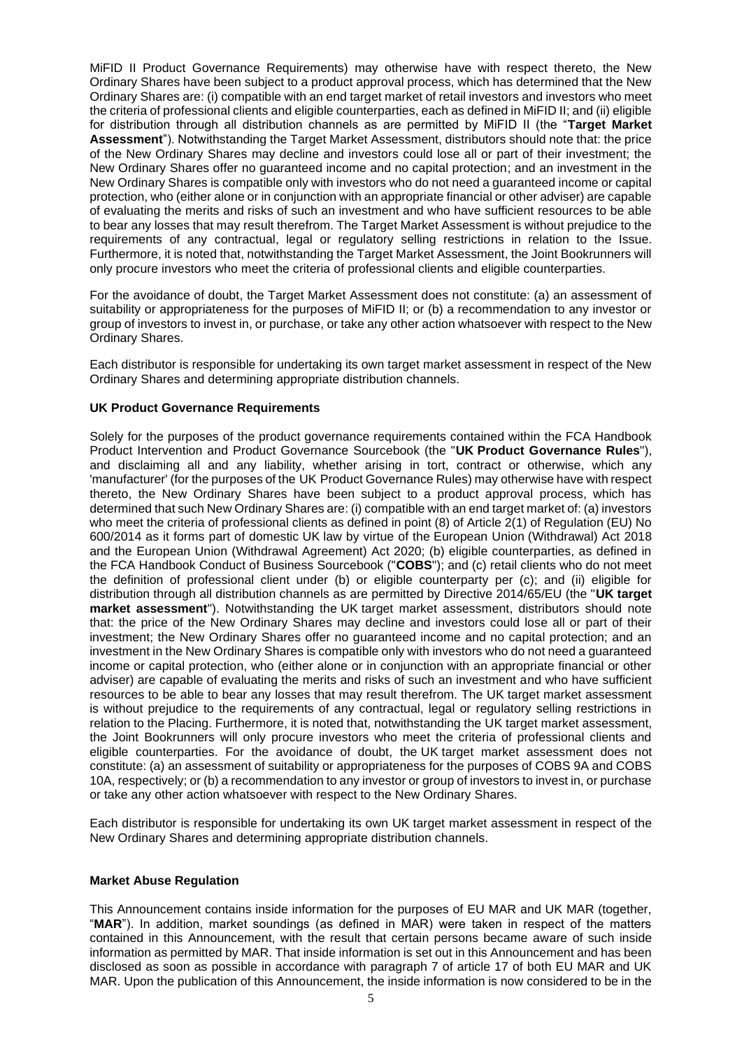MiFID II Product Governance Requirements) may otherwise have with respect thereto, the New Ordinary Shares have been subject to a product approval process, which has determined that the New Ordinary Shares are: (i) compatible with an end target market of retail investors and investors who meet the criteria of professional clients and eligible counterparties, each as defined in MiFID II; and (ii) eligible for distribution through all distribution channels as are permitted by MiFID II (the "**Target Market Assessment**"). Notwithstanding the Target Market Assessment, distributors should note that: the price of the New Ordinary Shares may decline and investors could lose all or part of their investment; the New Ordinary Shares offer no guaranteed income and no capital protection; and an investment in the New Ordinary Shares is compatible only with investors who do not need a guaranteed income or capital protection, who (either alone or in conjunction with an appropriate financial or other adviser) are capable of evaluating the merits and risks of such an investment and who have sufficient resources to be able to bear any losses that may result therefrom. The Target Market Assessment is without prejudice to the requirements of any contractual, legal or regulatory selling restrictions in relation to the Issue. Furthermore, it is noted that, notwithstanding the Target Market Assessment, the Joint Bookrunners will only procure investors who meet the criteria of professional clients and eligible counterparties.

For the avoidance of doubt, the Target Market Assessment does not constitute: (a) an assessment of suitability or appropriateness for the purposes of MiFID II; or (b) a recommendation to any investor or group of investors to invest in, or purchase, or take any other action whatsoever with respect to the New Ordinary Shares.

Each distributor is responsible for undertaking its own target market assessment in respect of the New Ordinary Shares and determining appropriate distribution channels.

### **UK Product Governance Requirements**

Solely for the purposes of the product governance requirements contained within the FCA Handbook Product Intervention and Product Governance Sourcebook (the "**UK Product Governance Rules**"), and disclaiming all and any liability, whether arising in tort, contract or otherwise, which any 'manufacturer' (for the purposes of the UK Product Governance Rules) may otherwise have with respect thereto, the New Ordinary Shares have been subject to a product approval process, which has determined that such New Ordinary Shares are: (i) compatible with an end target market of: (a) investors who meet the criteria of professional clients as defined in point (8) of Article 2(1) of Regulation (EU) No 600/2014 as it forms part of domestic UK law by virtue of the European Union (Withdrawal) Act 2018 and the European Union (Withdrawal Agreement) Act 2020; (b) eligible counterparties, as defined in the FCA Handbook Conduct of Business Sourcebook ("**COBS**"); and (c) retail clients who do not meet the definition of professional client under (b) or eligible counterparty per (c); and (ii) eligible for distribution through all distribution channels as are permitted by Directive 2014/65/EU (the "**UK target market assessment**"). Notwithstanding the UK target market assessment, distributors should note that: the price of the New Ordinary Shares may decline and investors could lose all or part of their investment; the New Ordinary Shares offer no guaranteed income and no capital protection; and an investment in the New Ordinary Shares is compatible only with investors who do not need a guaranteed income or capital protection, who (either alone or in conjunction with an appropriate financial or other adviser) are capable of evaluating the merits and risks of such an investment and who have sufficient resources to be able to bear any losses that may result therefrom. The UK target market assessment is without prejudice to the requirements of any contractual, legal or regulatory selling restrictions in relation to the Placing. Furthermore, it is noted that, notwithstanding the UK target market assessment, the Joint Bookrunners will only procure investors who meet the criteria of professional clients and eligible counterparties. For the avoidance of doubt, the UK target market assessment does not constitute: (a) an assessment of suitability or appropriateness for the purposes of COBS 9A and COBS 10A, respectively; or (b) a recommendation to any investor or group of investors to invest in, or purchase or take any other action whatsoever with respect to the New Ordinary Shares.

Each distributor is responsible for undertaking its own UK target market assessment in respect of the New Ordinary Shares and determining appropriate distribution channels.

#### **Market Abuse Regulation**

This Announcement contains inside information for the purposes of EU MAR and UK MAR (together, "**MAR**"). In addition, market soundings (as defined in MAR) were taken in respect of the matters contained in this Announcement, with the result that certain persons became aware of such inside information as permitted by MAR. That inside information is set out in this Announcement and has been disclosed as soon as possible in accordance with paragraph 7 of article 17 of both EU MAR and UK MAR. Upon the publication of this Announcement, the inside information is now considered to be in the